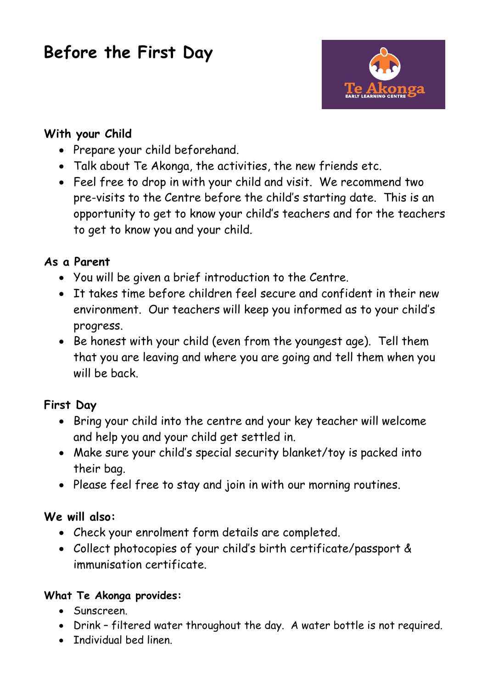# **Before the First Day**



## **With your Child**

- Prepare your child beforehand.
- Talk about Te Akonga, the activities, the new friends etc.
- Feel free to drop in with your child and visit. We recommend two pre-visits to the Centre before the child's starting date. This is an opportunity to get to know your child's teachers and for the teachers to get to know you and your child.

## **As a Parent**

- You will be given a brief introduction to the Centre.
- It takes time before children feel secure and confident in their new environment. Our teachers will keep you informed as to your child's progress.
- Be honest with your child (even from the youngest age). Tell them that you are leaving and where you are going and tell them when you will be back

# **First Day**

- Bring your child into the centre and your key teacher will welcome and help you and your child get settled in.
- Make sure your child's special security blanket/toy is packed into their bag.
- Please feel free to stay and join in with our morning routines.

# **We will also:**

- Check your enrolment form details are completed.
- Collect photocopies of your child's birth certificate/passport & immunisation certificate.

## **What Te Akonga provides:**

- Sunscreen.
- Drink filtered water throughout the day. A water bottle is not required.
- Individual bed linen.